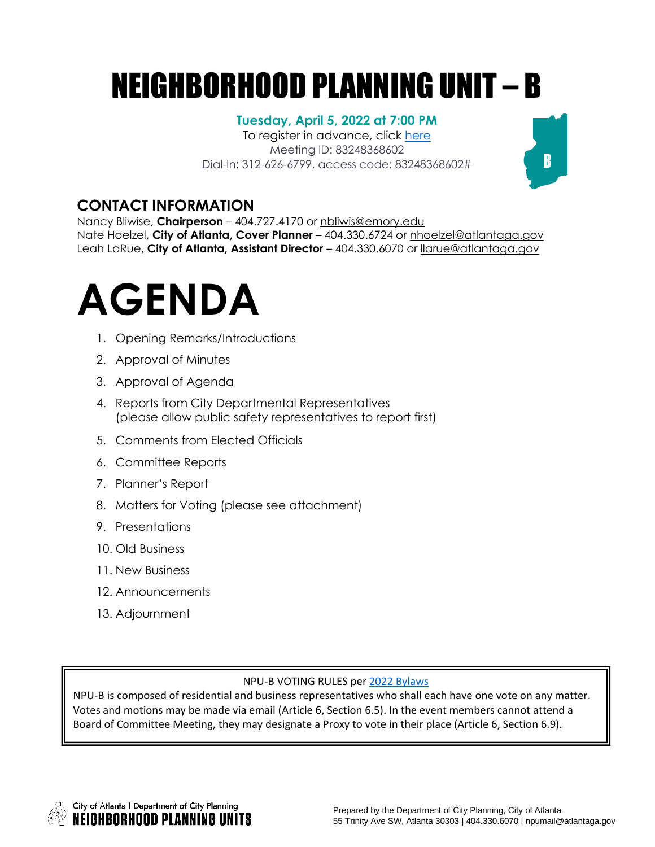# NEIGHBORHOOD PLANNING UNIT – B

#### **Tuesday, April 5, 2022 at 7:00 PM**

To register in advance, click [here](https://us06web.zoom.us/meeting/register/tZcvc-GrqDMsGtbvnnKzpDF2BbUXxQuxx_N9) Meeting ID: 83248368602 Dial-In: 312-626-6799, access code: 83248368602#

### **CONTACT INFORMATION**

Nancy Bliwise, **Chairperson** – 404.727.4170 or [nbliwis@emory.edu](mailto:nbliwis@emory.edu)  Nate Hoelzel, **City of Atlanta, Cover Planner** – 404.330.6724 or nhoelzel@atlantaga.gov Leah LaRue, **City of Atlanta, Assistant Director** – 404.330.6070 or [llarue@atlantaga.gov](mailto:llarue@atlantaga.gov)



- 1. Opening Remarks/Introductions
- 2. Approval of Minutes
- 3. Approval of Agenda
- 4. Reports from City Departmental Representatives (please allow public safety representatives to report first)
- 5. Comments from Elected Officials
- 6. Committee Reports
- 7. Planner's Report
- 8. Matters for Voting (please see attachment)
- 9. Presentations
- 10. Old Business
- 11. New Business
- 12. Announcements
- 13. Adjournment

#### NPU-B VOTING RULES per 2022 [Bylaws](https://drive.google.com/file/d/1Nx1HnMcgoWdbKz5jXDii9NGpDqeiiR69/view?usp=sharing)

NPU-B is composed of residential and business representatives who shall each have one vote on any matter. Votes and motions may be made via email (Article 6, Section 6.5). In the event members cannot attend a Board of Committee Meeting, they may designate a Proxy to vote in their place (Article 6, Section 6.9).



 $\mathbf{B}$